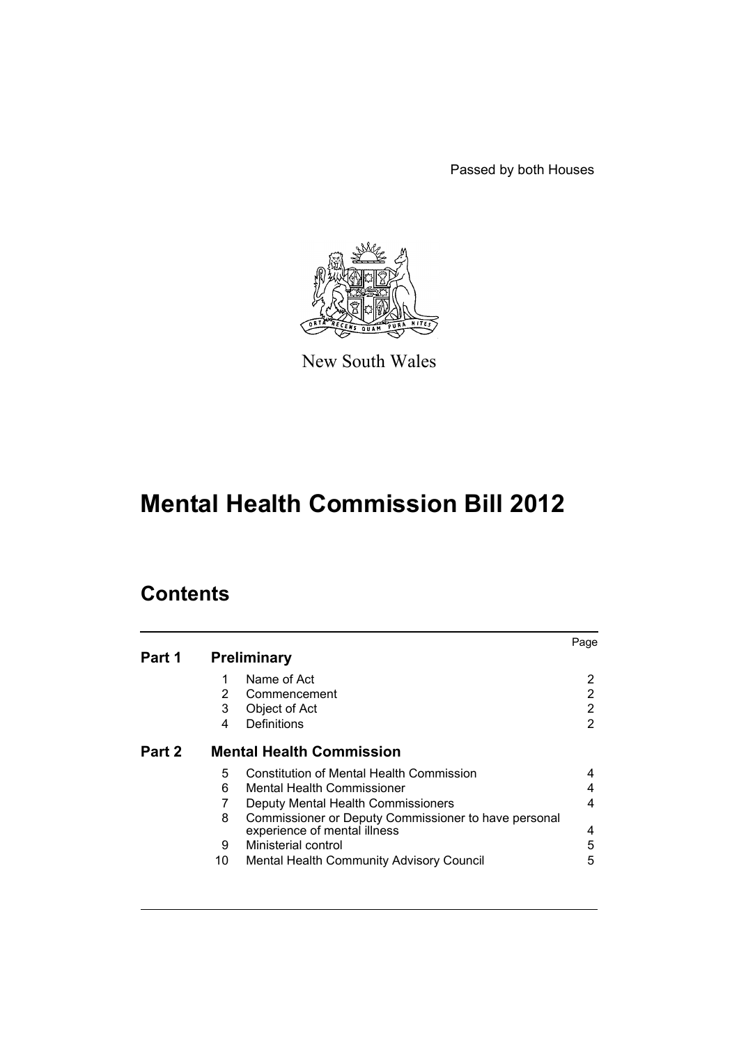Passed by both Houses



New South Wales

# **Mental Health Commission Bill 2012**

## **Contents**

|        |                                 |                                                      | Page |  |
|--------|---------------------------------|------------------------------------------------------|------|--|
| Part 1 | <b>Preliminary</b>              |                                                      |      |  |
|        |                                 | Name of Act                                          | 2    |  |
|        | 2                               | Commencement                                         | 2    |  |
|        | 3                               | Object of Act                                        | 2    |  |
|        | 4                               | Definitions                                          | 2    |  |
| Part 2 | <b>Mental Health Commission</b> |                                                      |      |  |
|        | 5                               | <b>Constitution of Mental Health Commission</b>      | 4    |  |
|        | 6                               | Mental Health Commissioner                           | 4    |  |
|        |                                 | Deputy Mental Health Commissioners                   | 4    |  |
|        | 8                               | Commissioner or Deputy Commissioner to have personal |      |  |
|        |                                 | experience of mental illness                         | 4    |  |
|        | 9                               | Ministerial control                                  | 5    |  |
|        | 10                              | Mental Health Community Advisory Council             | 5    |  |
|        |                                 |                                                      |      |  |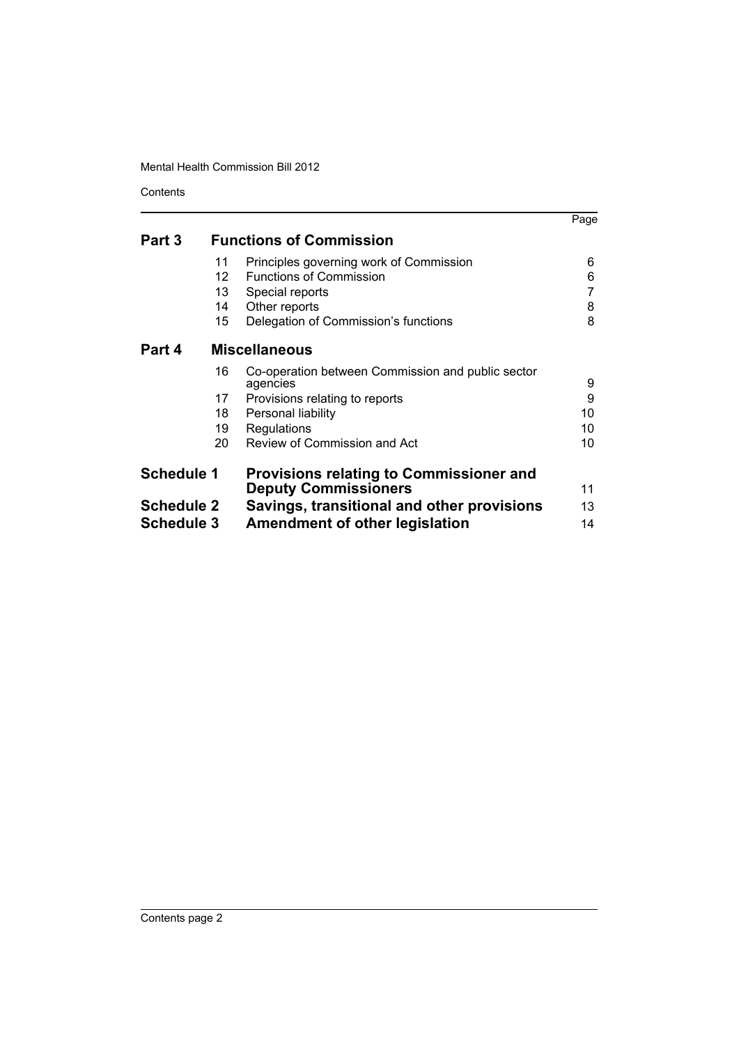Contents

|                   |                                |                                                               | Page |  |
|-------------------|--------------------------------|---------------------------------------------------------------|------|--|
| Part 3            | <b>Functions of Commission</b> |                                                               |      |  |
|                   | 11                             | Principles governing work of Commission                       | 6    |  |
|                   | $12 \overline{ }$              | <b>Functions of Commission</b>                                | 6    |  |
|                   | 13                             | Special reports                                               |      |  |
|                   | 14                             | Other reports                                                 | 8    |  |
|                   | 15                             | Delegation of Commission's functions                          | 8    |  |
| Part 4            |                                | <b>Miscellaneous</b>                                          |      |  |
|                   | 16                             | Co-operation between Commission and public sector<br>agencies | 9    |  |
|                   | 17                             | Provisions relating to reports                                | 9    |  |
|                   | 18                             | Personal liability                                            | 10   |  |
|                   | 19                             | Regulations                                                   | 10   |  |
|                   | 20                             | Review of Commission and Act                                  | 10   |  |
| <b>Schedule 1</b> |                                | <b>Provisions relating to Commissioner and</b>                |      |  |
|                   |                                | <b>Deputy Commissioners</b>                                   | 11   |  |
| <b>Schedule 2</b> |                                | Savings, transitional and other provisions                    | 13   |  |
| <b>Schedule 3</b> |                                | <b>Amendment of other legislation</b>                         | 14   |  |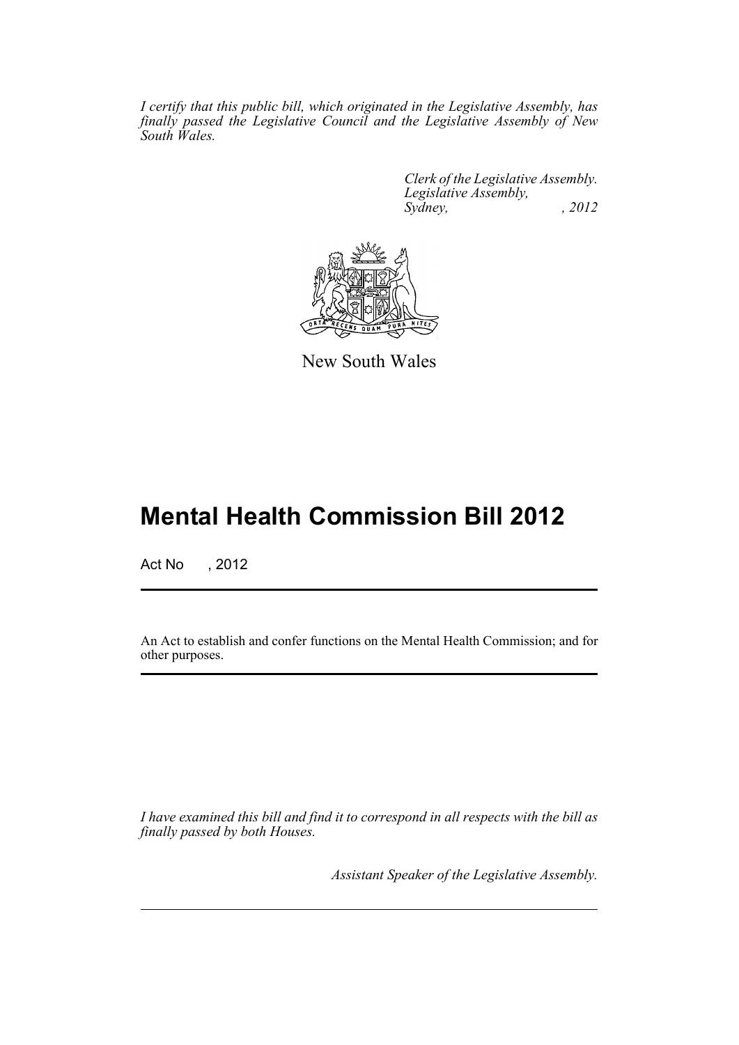*I certify that this public bill, which originated in the Legislative Assembly, has finally passed the Legislative Council and the Legislative Assembly of New South Wales.*

> *Clerk of the Legislative Assembly. Legislative Assembly, Sydney, , 2012*



New South Wales

## **Mental Health Commission Bill 2012**

Act No , 2012

An Act to establish and confer functions on the Mental Health Commission; and for other purposes.

*I have examined this bill and find it to correspond in all respects with the bill as finally passed by both Houses.*

*Assistant Speaker of the Legislative Assembly.*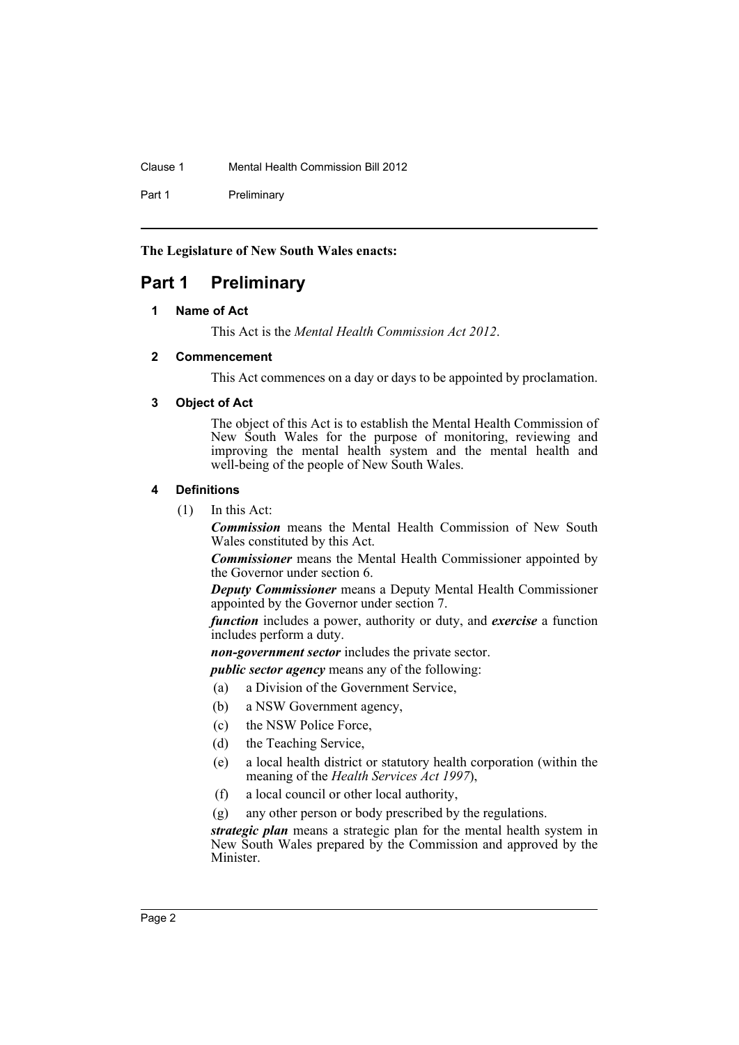Clause 1 Mental Health Commission Bill 2012

Part 1 Preliminary

**The Legislature of New South Wales enacts:**

## <span id="page-3-1"></span><span id="page-3-0"></span>**Part 1 Preliminary**

#### **1 Name of Act**

This Act is the *Mental Health Commission Act 2012*.

#### <span id="page-3-2"></span>**2 Commencement**

This Act commences on a day or days to be appointed by proclamation.

#### <span id="page-3-3"></span>**3 Object of Act**

The object of this Act is to establish the Mental Health Commission of New South Wales for the purpose of monitoring, reviewing and improving the mental health system and the mental health and well-being of the people of New South Wales.

#### <span id="page-3-4"></span>**4 Definitions**

(1) In this Act:

*Commission* means the Mental Health Commission of New South Wales constituted by this Act.

*Commissioner* means the Mental Health Commissioner appointed by the Governor under section 6.

*Deputy Commissioner* means a Deputy Mental Health Commissioner appointed by the Governor under section 7.

*function* includes a power, authority or duty, and *exercise* a function includes perform a duty.

*non-government sector* includes the private sector.

*public sector agency* means any of the following:

- (a) a Division of the Government Service,
- (b) a NSW Government agency,
- (c) the NSW Police Force,
- (d) the Teaching Service,
- (e) a local health district or statutory health corporation (within the meaning of the *Health Services Act 1997*),
- (f) a local council or other local authority,
- (g) any other person or body prescribed by the regulations.

*strategic plan* means a strategic plan for the mental health system in New South Wales prepared by the Commission and approved by the Minister.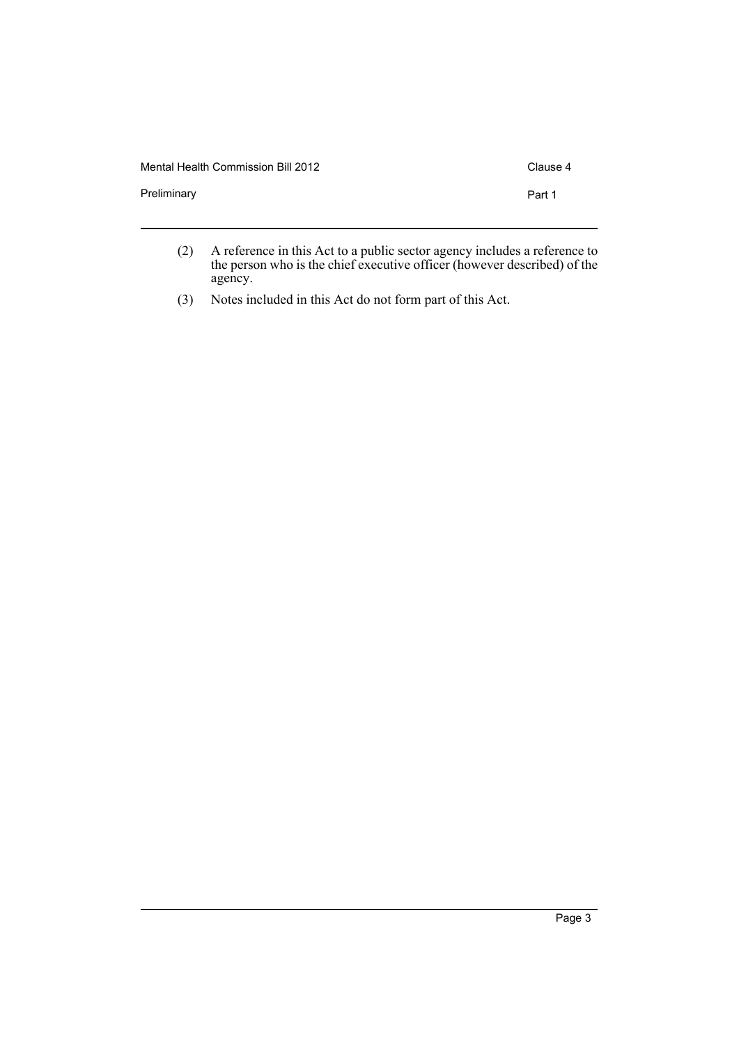| Mental Health Commission Bill 2012 | Clause 4 |
|------------------------------------|----------|
| Preliminary                        | Part 1   |
|                                    |          |

- (2) A reference in this Act to a public sector agency includes a reference to the person who is the chief executive officer (however described) of the agency.
- (3) Notes included in this Act do not form part of this Act.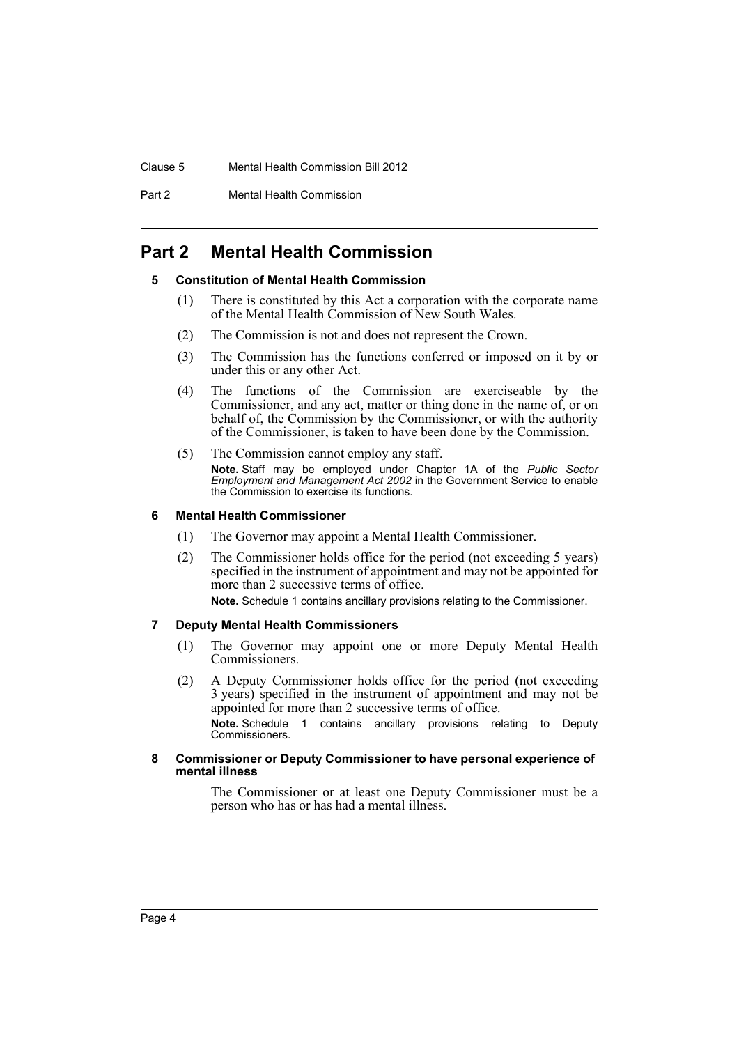#### Clause 5 Mental Health Commission Bill 2012

Part 2 Mental Health Commission

## <span id="page-5-1"></span><span id="page-5-0"></span>**Part 2 Mental Health Commission**

#### **5 Constitution of Mental Health Commission**

- (1) There is constituted by this Act a corporation with the corporate name of the Mental Health Commission of New South Wales.
- (2) The Commission is not and does not represent the Crown.
- (3) The Commission has the functions conferred or imposed on it by or under this or any other Act.
- (4) The functions of the Commission are exerciseable by the Commissioner, and any act, matter or thing done in the name of, or on behalf of, the Commission by the Commissioner, or with the authority of the Commissioner, is taken to have been done by the Commission.
- (5) The Commission cannot employ any staff. **Note.** Staff may be employed under Chapter 1A of the *Public Sector Employment and Management Act 2002* in the Government Service to enable the Commission to exercise its functions.

#### <span id="page-5-2"></span>**6 Mental Health Commissioner**

- (1) The Governor may appoint a Mental Health Commissioner.
- (2) The Commissioner holds office for the period (not exceeding 5 years) specified in the instrument of appointment and may not be appointed for more than 2 successive terms of office. **Note.** Schedule 1 contains ancillary provisions relating to the Commissioner.

### <span id="page-5-3"></span>**7 Deputy Mental Health Commissioners**

- (1) The Governor may appoint one or more Deputy Mental Health Commissioners.
- (2) A Deputy Commissioner holds office for the period (not exceeding 3 years) specified in the instrument of appointment and may not be appointed for more than 2 successive terms of office. **Note.** Schedule 1 contains ancillary provisions relating to Deputy Commissioners.

#### <span id="page-5-4"></span>**8 Commissioner or Deputy Commissioner to have personal experience of mental illness**

The Commissioner or at least one Deputy Commissioner must be a person who has or has had a mental illness.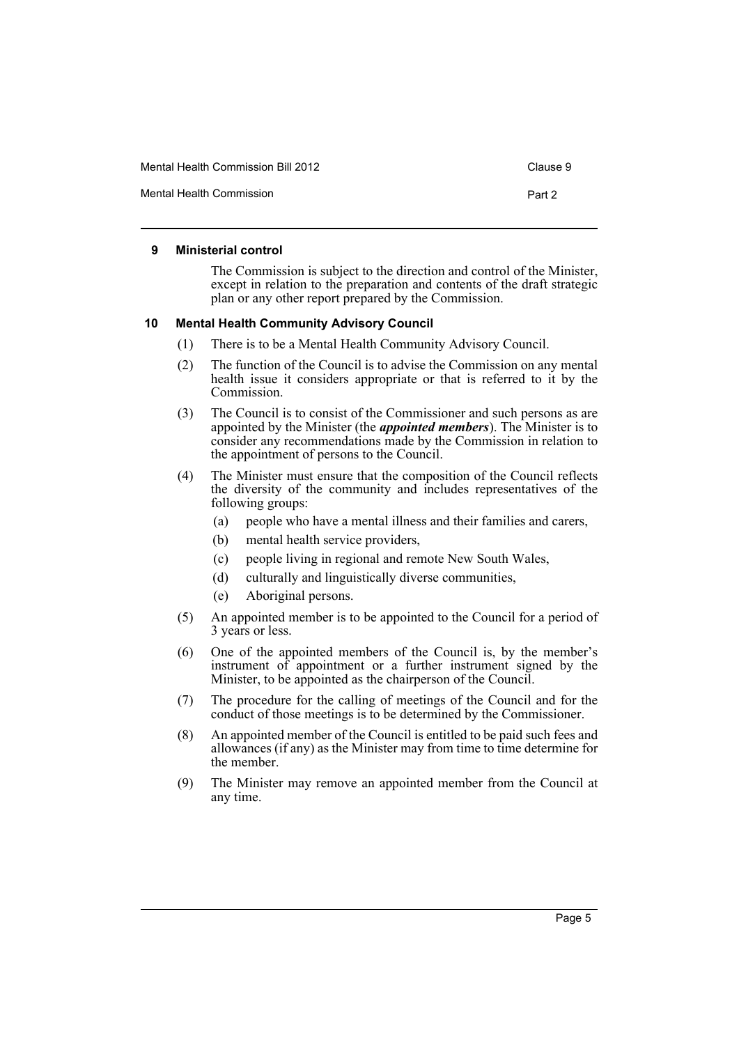Mental Health Commission **Part 2** 

#### <span id="page-6-0"></span>**9 Ministerial control**

The Commission is subject to the direction and control of the Minister, except in relation to the preparation and contents of the draft strategic plan or any other report prepared by the Commission.

#### <span id="page-6-1"></span>**10 Mental Health Community Advisory Council**

- (1) There is to be a Mental Health Community Advisory Council.
- (2) The function of the Council is to advise the Commission on any mental health issue it considers appropriate or that is referred to it by the Commission.
- (3) The Council is to consist of the Commissioner and such persons as are appointed by the Minister (the *appointed members*). The Minister is to consider any recommendations made by the Commission in relation to the appointment of persons to the Council.
- (4) The Minister must ensure that the composition of the Council reflects the diversity of the community and includes representatives of the following groups:
	- (a) people who have a mental illness and their families and carers,
	- (b) mental health service providers,
	- (c) people living in regional and remote New South Wales,
	- (d) culturally and linguistically diverse communities,
	- (e) Aboriginal persons.
- (5) An appointed member is to be appointed to the Council for a period of 3 years or less.
- (6) One of the appointed members of the Council is, by the member's instrument of appointment or a further instrument signed by the Minister, to be appointed as the chairperson of the Council.
- (7) The procedure for the calling of meetings of the Council and for the conduct of those meetings is to be determined by the Commissioner.
- (8) An appointed member of the Council is entitled to be paid such fees and allowances (if any) as the Minister may from time to time determine for the member.
- (9) The Minister may remove an appointed member from the Council at any time.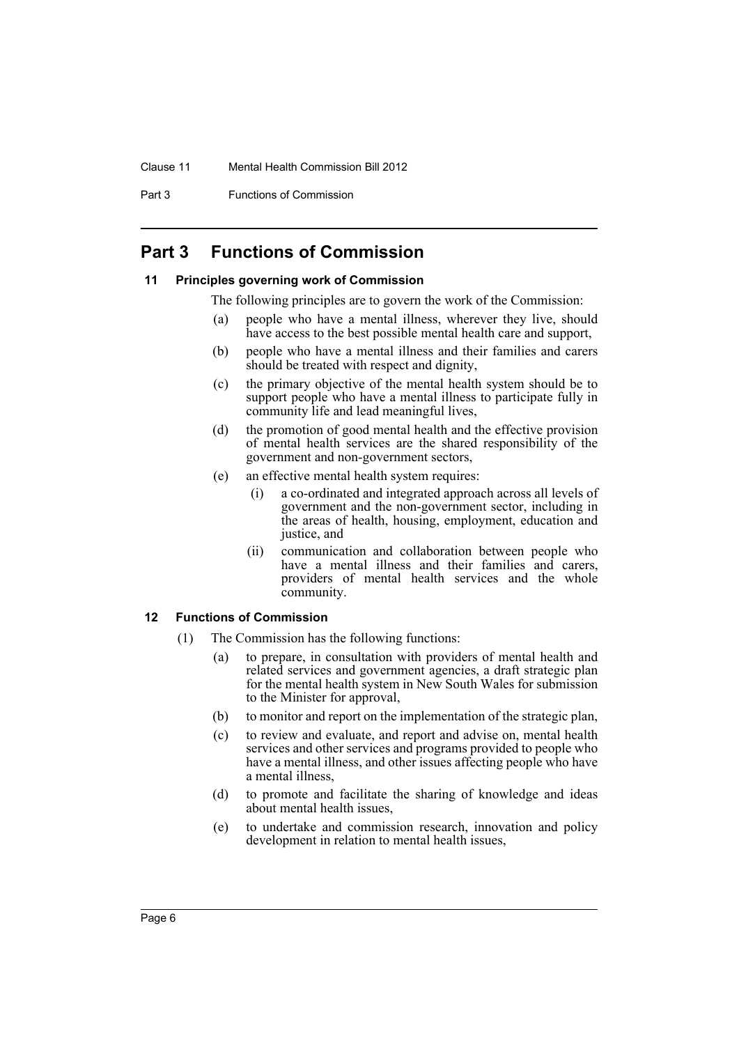#### Clause 11 Mental Health Commission Bill 2012

Part 3 Functions of Commission

## <span id="page-7-0"></span>**Part 3 Functions of Commission**

#### <span id="page-7-1"></span>**11 Principles governing work of Commission**

- The following principles are to govern the work of the Commission:
- (a) people who have a mental illness, wherever they live, should have access to the best possible mental health care and support,
- (b) people who have a mental illness and their families and carers should be treated with respect and dignity,
- (c) the primary objective of the mental health system should be to support people who have a mental illness to participate fully in community life and lead meaningful lives,
- (d) the promotion of good mental health and the effective provision of mental health services are the shared responsibility of the government and non-government sectors,
- (e) an effective mental health system requires:
	- (i) a co-ordinated and integrated approach across all levels of government and the non-government sector, including in the areas of health, housing, employment, education and justice, and
	- (ii) communication and collaboration between people who have a mental illness and their families and carers, providers of mental health services and the whole community.

#### <span id="page-7-2"></span>**12 Functions of Commission**

- (1) The Commission has the following functions:
	- (a) to prepare, in consultation with providers of mental health and related services and government agencies, a draft strategic plan for the mental health system in New South Wales for submission to the Minister for approval,
	- (b) to monitor and report on the implementation of the strategic plan,
	- (c) to review and evaluate, and report and advise on, mental health services and other services and programs provided to people who have a mental illness, and other issues affecting people who have a mental illness,
	- (d) to promote and facilitate the sharing of knowledge and ideas about mental health issues,
	- (e) to undertake and commission research, innovation and policy development in relation to mental health issues,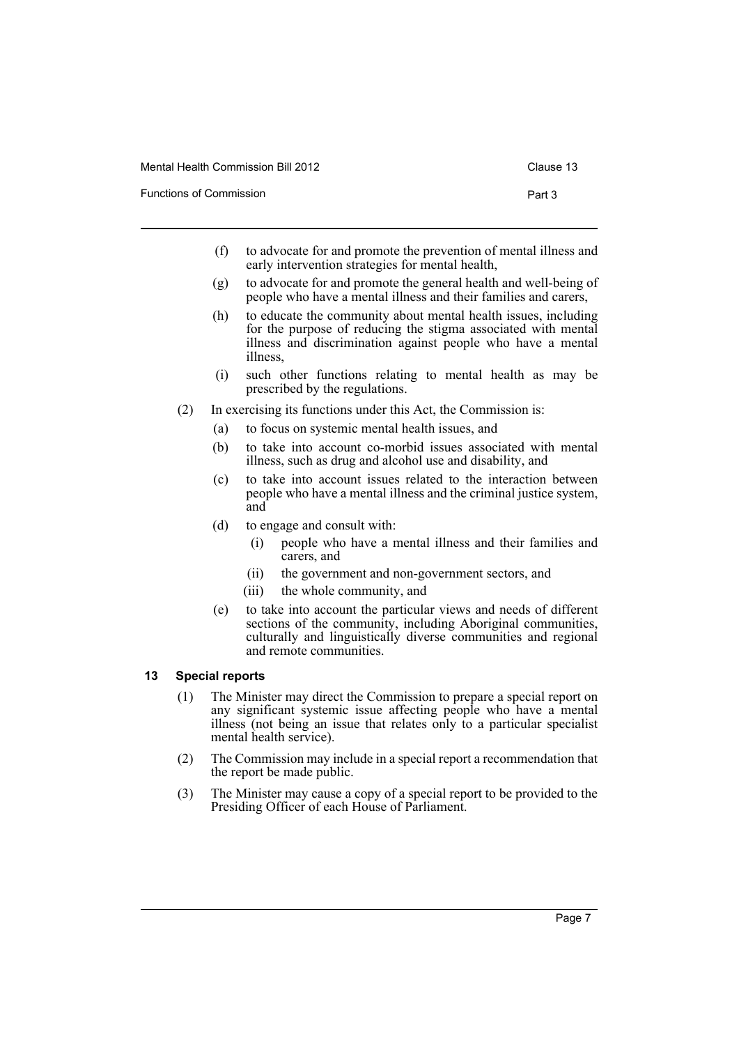| Functions of Commission | Part 3 |
|-------------------------|--------|
|-------------------------|--------|

- (f) to advocate for and promote the prevention of mental illness and early intervention strategies for mental health,
- (g) to advocate for and promote the general health and well-being of people who have a mental illness and their families and carers,
- (h) to educate the community about mental health issues, including for the purpose of reducing the stigma associated with mental illness and discrimination against people who have a mental illness,
- (i) such other functions relating to mental health as may be prescribed by the regulations.
- (2) In exercising its functions under this Act, the Commission is:
	- (a) to focus on systemic mental health issues, and
	- (b) to take into account co-morbid issues associated with mental illness, such as drug and alcohol use and disability, and
	- (c) to take into account issues related to the interaction between people who have a mental illness and the criminal justice system, and
	- (d) to engage and consult with:
		- (i) people who have a mental illness and their families and carers, and
		- (ii) the government and non-government sectors, and
		- (iii) the whole community, and
	- (e) to take into account the particular views and needs of different sections of the community, including Aboriginal communities, culturally and linguistically diverse communities and regional and remote communities.

#### <span id="page-8-0"></span>**13 Special reports**

- (1) The Minister may direct the Commission to prepare a special report on any significant systemic issue affecting people who have a mental illness (not being an issue that relates only to a particular specialist mental health service).
- (2) The Commission may include in a special report a recommendation that the report be made public.
- (3) The Minister may cause a copy of a special report to be provided to the Presiding Officer of each House of Parliament.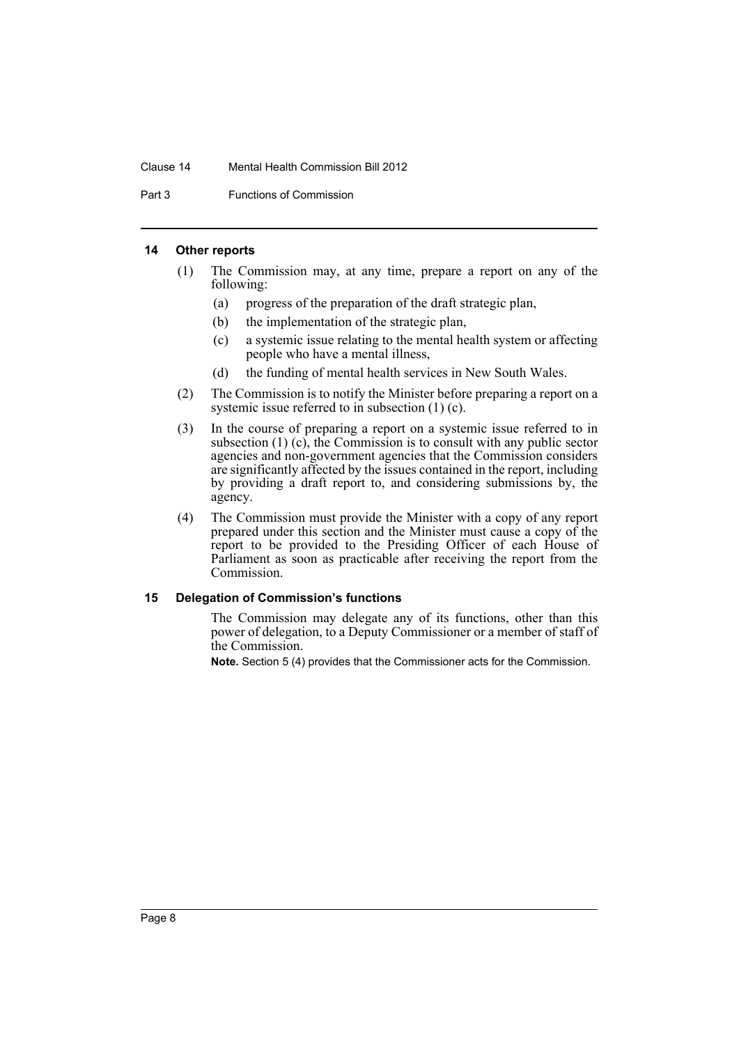#### Clause 14 Mental Health Commission Bill 2012

Part 3 Functions of Commission

#### <span id="page-9-0"></span>**14 Other reports**

- (1) The Commission may, at any time, prepare a report on any of the following:
	- (a) progress of the preparation of the draft strategic plan,
	- (b) the implementation of the strategic plan,
	- (c) a systemic issue relating to the mental health system or affecting people who have a mental illness,
	- (d) the funding of mental health services in New South Wales.
- (2) The Commission is to notify the Minister before preparing a report on a systemic issue referred to in subsection (1) (c).
- (3) In the course of preparing a report on a systemic issue referred to in subsection  $(1)$   $(c)$ , the Commission is to consult with any public sector agencies and non-government agencies that the Commission considers are significantly affected by the issues contained in the report, including by providing a draft report to, and considering submissions by, the agency.
- (4) The Commission must provide the Minister with a copy of any report prepared under this section and the Minister must cause a copy of the report to be provided to the Presiding Officer of each House of Parliament as soon as practicable after receiving the report from the Commission.

#### <span id="page-9-1"></span>**15 Delegation of Commission's functions**

The Commission may delegate any of its functions, other than this power of delegation, to a Deputy Commissioner or a member of staff of the Commission.

**Note.** Section 5 (4) provides that the Commissioner acts for the Commission.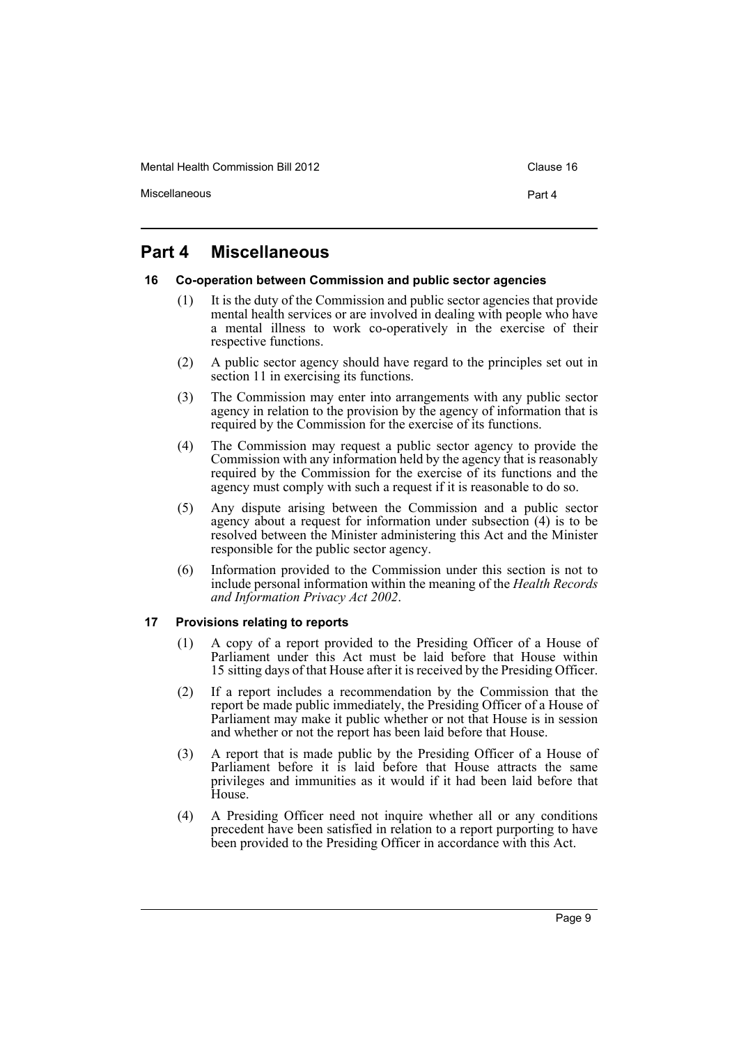Mental Health Commission Bill 2012 Clause 16

Miscellaneous **Part 4** 

## <span id="page-10-0"></span>**Part 4 Miscellaneous**

#### <span id="page-10-1"></span>**16 Co-operation between Commission and public sector agencies**

- (1) It is the duty of the Commission and public sector agencies that provide mental health services or are involved in dealing with people who have a mental illness to work co-operatively in the exercise of their respective functions.
- (2) A public sector agency should have regard to the principles set out in section 11 in exercising its functions.
- (3) The Commission may enter into arrangements with any public sector agency in relation to the provision by the agency of information that is required by the Commission for the exercise of its functions.
- (4) The Commission may request a public sector agency to provide the Commission with any information held by the agency that is reasonably required by the Commission for the exercise of its functions and the agency must comply with such a request if it is reasonable to do so.
- (5) Any dispute arising between the Commission and a public sector agency about a request for information under subsection (4) is to be resolved between the Minister administering this Act and the Minister responsible for the public sector agency.
- (6) Information provided to the Commission under this section is not to include personal information within the meaning of the *Health Records and Information Privacy Act 2002*.

#### <span id="page-10-2"></span>**17 Provisions relating to reports**

- (1) A copy of a report provided to the Presiding Officer of a House of Parliament under this Act must be laid before that House within 15 sitting days of that House after it is received by the Presiding Officer.
- (2) If a report includes a recommendation by the Commission that the report be made public immediately, the Presiding Officer of a House of Parliament may make it public whether or not that House is in session and whether or not the report has been laid before that House.
- (3) A report that is made public by the Presiding Officer of a House of Parliament before it is laid before that House attracts the same privileges and immunities as it would if it had been laid before that House.
- (4) A Presiding Officer need not inquire whether all or any conditions precedent have been satisfied in relation to a report purporting to have been provided to the Presiding Officer in accordance with this Act.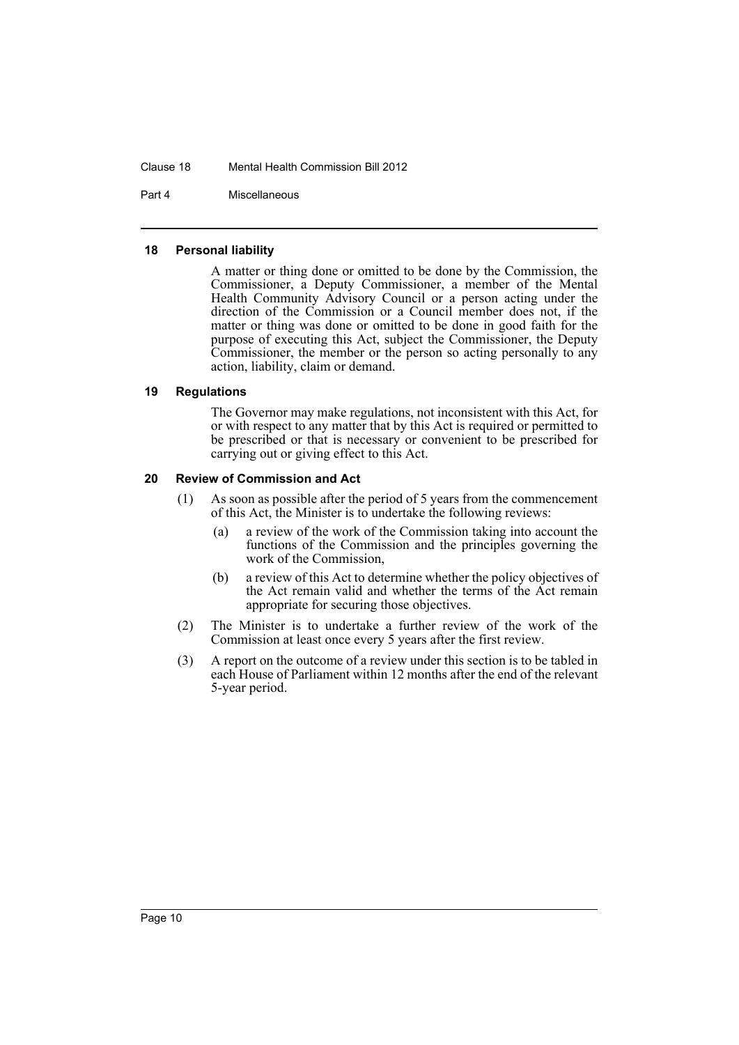#### Clause 18 Mental Health Commission Bill 2012

Part 4 Miscellaneous

#### <span id="page-11-0"></span>**18 Personal liability**

A matter or thing done or omitted to be done by the Commission, the Commissioner, a Deputy Commissioner, a member of the Mental Health Community Advisory Council or a person acting under the direction of the Commission or a Council member does not, if the matter or thing was done or omitted to be done in good faith for the purpose of executing this Act, subject the Commissioner, the Deputy Commissioner, the member or the person so acting personally to any action, liability, claim or demand.

#### <span id="page-11-1"></span>**19 Regulations**

The Governor may make regulations, not inconsistent with this Act, for or with respect to any matter that by this Act is required or permitted to be prescribed or that is necessary or convenient to be prescribed for carrying out or giving effect to this Act.

#### <span id="page-11-2"></span>**20 Review of Commission and Act**

- (1) As soon as possible after the period of 5 years from the commencement of this Act, the Minister is to undertake the following reviews:
	- (a) a review of the work of the Commission taking into account the functions of the Commission and the principles governing the work of the Commission,
	- (b) a review of this Act to determine whether the policy objectives of the Act remain valid and whether the terms of the Act remain appropriate for securing those objectives.
- (2) The Minister is to undertake a further review of the work of the Commission at least once every 5 years after the first review.
- (3) A report on the outcome of a review under this section is to be tabled in each House of Parliament within 12 months after the end of the relevant 5-year period.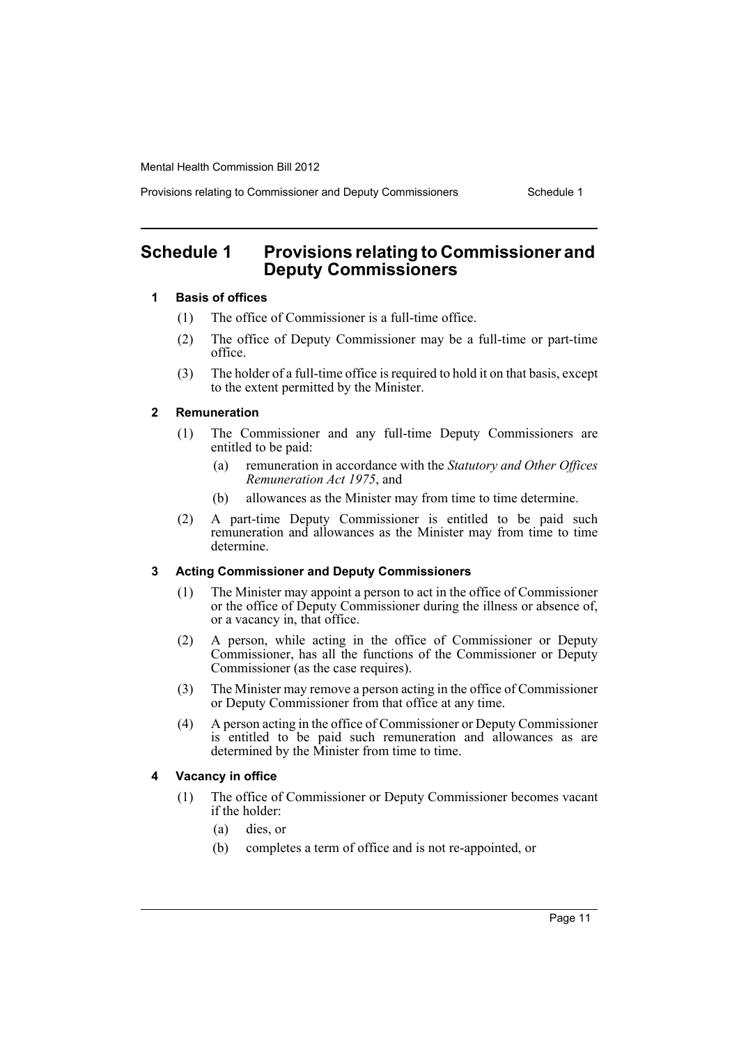Provisions relating to Commissioner and Deputy Commissioners Schedule 1

## <span id="page-12-0"></span>**Schedule 1 Provisions relating to Commissioner and Deputy Commissioners**

#### **1 Basis of offices**

- (1) The office of Commissioner is a full-time office.
- (2) The office of Deputy Commissioner may be a full-time or part-time office.
- (3) The holder of a full-time office is required to hold it on that basis, except to the extent permitted by the Minister.

#### **2 Remuneration**

- (1) The Commissioner and any full-time Deputy Commissioners are entitled to be paid:
	- (a) remuneration in accordance with the *Statutory and Other Offices Remuneration Act 1975*, and
	- (b) allowances as the Minister may from time to time determine.
- (2) A part-time Deputy Commissioner is entitled to be paid such remuneration and allowances as the Minister may from time to time determine.

#### **3 Acting Commissioner and Deputy Commissioners**

- (1) The Minister may appoint a person to act in the office of Commissioner or the office of Deputy Commissioner during the illness or absence of, or a vacancy in, that office.
- (2) A person, while acting in the office of Commissioner or Deputy Commissioner, has all the functions of the Commissioner or Deputy Commissioner (as the case requires).
- (3) The Minister may remove a person acting in the office of Commissioner or Deputy Commissioner from that office at any time.
- (4) A person acting in the office of Commissioner or Deputy Commissioner is entitled to be paid such remuneration and allowances as are determined by the Minister from time to time.

#### **4 Vacancy in office**

- (1) The office of Commissioner or Deputy Commissioner becomes vacant if the holder:
	- (a) dies, or
	- (b) completes a term of office and is not re-appointed, or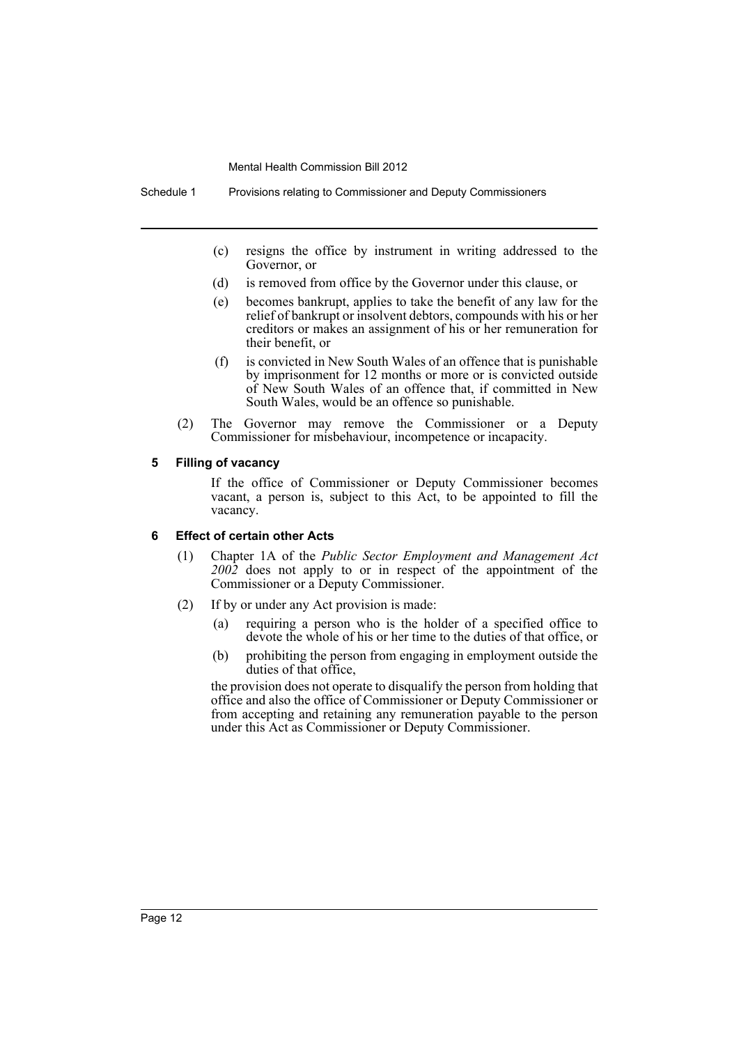Schedule 1 Provisions relating to Commissioner and Deputy Commissioners

- (c) resigns the office by instrument in writing addressed to the Governor, or
- (d) is removed from office by the Governor under this clause, or
- (e) becomes bankrupt, applies to take the benefit of any law for the relief of bankrupt or insolvent debtors, compounds with his or her creditors or makes an assignment of his or her remuneration for their benefit, or
- (f) is convicted in New South Wales of an offence that is punishable by imprisonment for 12 months or more or is convicted outside of New South Wales of an offence that, if committed in New South Wales, would be an offence so punishable.
- (2) The Governor may remove the Commissioner or a Deputy Commissioner for misbehaviour, incompetence or incapacity.

#### **5 Filling of vacancy**

If the office of Commissioner or Deputy Commissioner becomes vacant, a person is, subject to this Act, to be appointed to fill the vacancy.

#### **6 Effect of certain other Acts**

- (1) Chapter 1A of the *Public Sector Employment and Management Act 2002* does not apply to or in respect of the appointment of the Commissioner or a Deputy Commissioner.
- (2) If by or under any Act provision is made:
	- (a) requiring a person who is the holder of a specified office to devote the whole of his or her time to the duties of that office, or
	- (b) prohibiting the person from engaging in employment outside the duties of that office,

the provision does not operate to disqualify the person from holding that office and also the office of Commissioner or Deputy Commissioner or from accepting and retaining any remuneration payable to the person under this Act as Commissioner or Deputy Commissioner.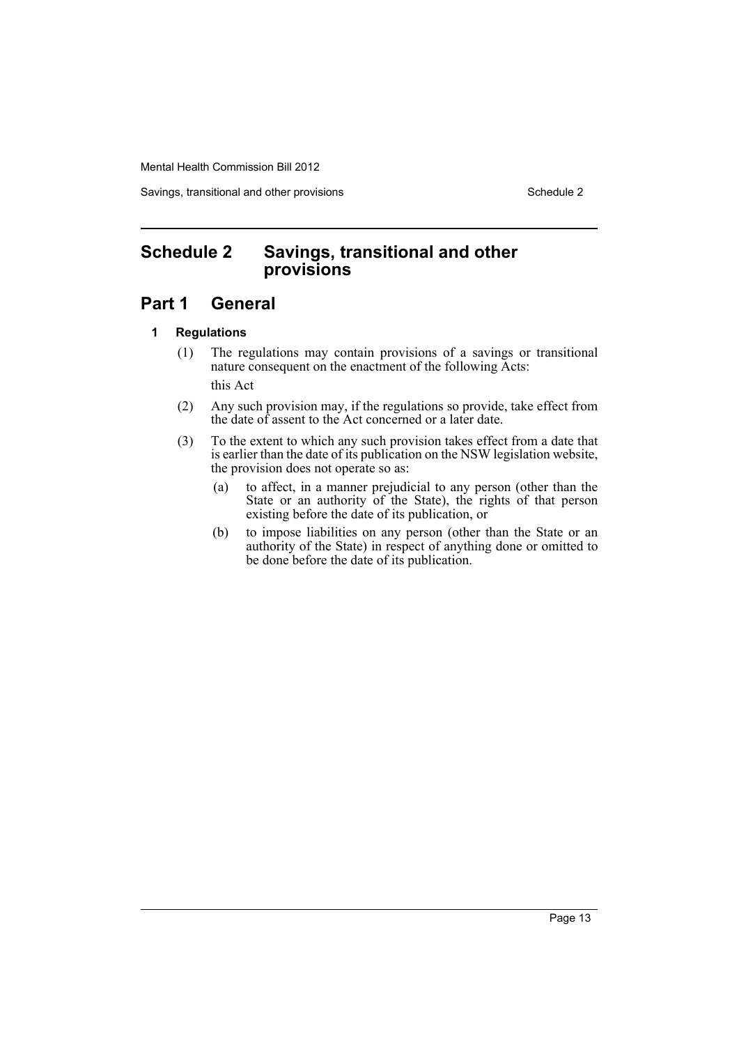Savings, transitional and other provisions Schedule 2 Schedule 2

## <span id="page-14-0"></span>**Schedule 2 Savings, transitional and other provisions**

## **Part 1 General**

#### **1 Regulations**

- (1) The regulations may contain provisions of a savings or transitional nature consequent on the enactment of the following Acts: this Act
- (2) Any such provision may, if the regulations so provide, take effect from the date of assent to the Act concerned or a later date.
- (3) To the extent to which any such provision takes effect from a date that is earlier than the date of its publication on the NSW legislation website, the provision does not operate so as:
	- (a) to affect, in a manner prejudicial to any person (other than the State or an authority of the State), the rights of that person existing before the date of its publication, or
	- (b) to impose liabilities on any person (other than the State or an authority of the State) in respect of anything done or omitted to be done before the date of its publication.